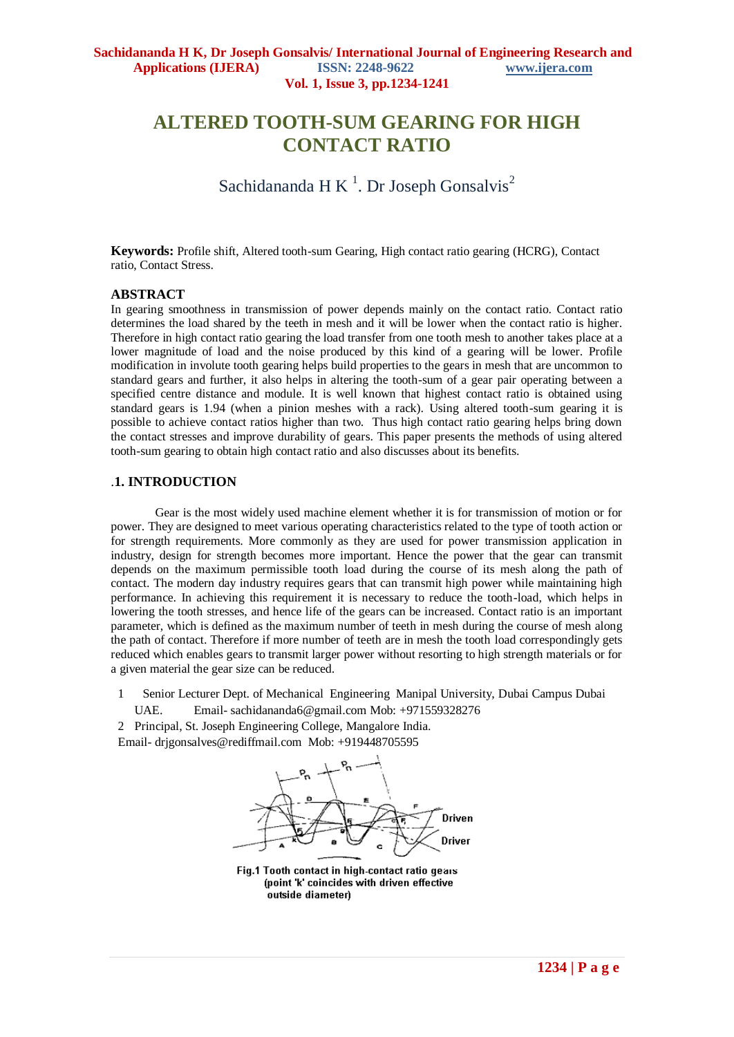# **ALTERED TOOTH-SUM GEARING FOR HIGH CONTACT RATIO**

Sachidananda H K<sup>1</sup>. Dr Joseph Gonsalvis<sup>2</sup>

**Keywords:** Profile shift, Altered tooth-sum Gearing, High contact ratio gearing (HCRG), Contact ratio, Contact Stress.

## **ABSTRACT**

In gearing smoothness in transmission of power depends mainly on the contact ratio. Contact ratio determines the load shared by the teeth in mesh and it will be lower when the contact ratio is higher. Therefore in high contact ratio gearing the load transfer from one tooth mesh to another takes place at a lower magnitude of load and the noise produced by this kind of a gearing will be lower. Profile modification in involute tooth gearing helps build properties to the gears in mesh that are uncommon to standard gears and further, it also helps in altering the tooth-sum of a gear pair operating between a specified centre distance and module. It is well known that highest contact ratio is obtained using standard gears is 1.94 (when a pinion meshes with a rack). Using altered tooth-sum gearing it is possible to achieve contact ratios higher than two. Thus high contact ratio gearing helps bring down the contact stresses and improve durability of gears. This paper presents the methods of using altered tooth-sum gearing to obtain high contact ratio and also discusses about its benefits.

## .**1. INTRODUCTION**

Gear is the most widely used machine element whether it is for transmission of motion or for power. They are designed to meet various operating characteristics related to the type of tooth action or for strength requirements. More commonly as they are used for power transmission application in industry, design for strength becomes more important. Hence the power that the gear can transmit depends on the maximum permissible tooth load during the course of its mesh along the path of contact. The modern day industry requires gears that can transmit high power while maintaining high performance. In achieving this requirement it is necessary to reduce the tooth-load, which helps in lowering the tooth stresses, and hence life of the gears can be increased. Contact ratio is an important parameter, which is defined as the maximum number of teeth in mesh during the course of mesh along the path of contact. Therefore if more number of teeth are in mesh the tooth load correspondingly gets reduced which enables gears to transmit larger power without resorting to high strength materials or for a given material the gear size can be reduced.

1 Senior Lecturer Dept. of Mechanical Engineering Manipal University, Dubai Campus Dubai UAE. Email- [sachidananda6@gmail.com](mailto:sachi_dananda@yahoo.com) Mob: +971559328276

2 Principal, St. Joseph Engineering College, Mangalore India.

Email- [drjgonsalves@rediffmail.com](mailto:drjgonsalves@rediffmail.com) Mob: +919448705595



Fig.1 Tooth contact in high-contact ratio gears (point 'k' coincides with driven effective outside diameter)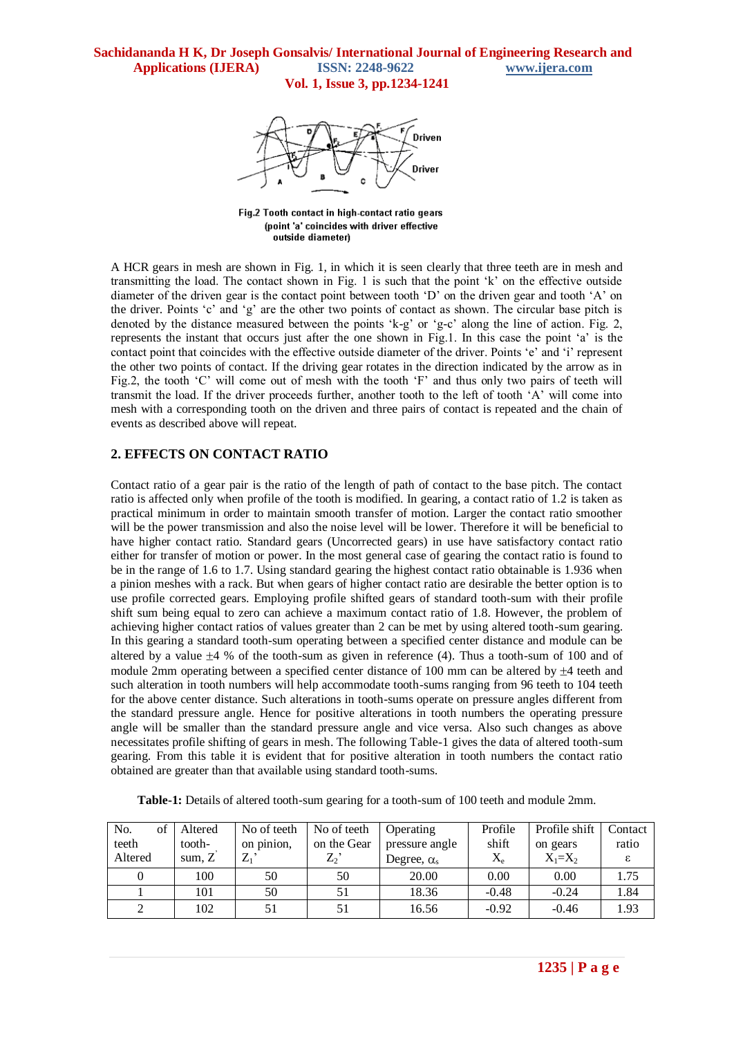

Fig.2 Tooth contact in high-contact ratio gears (point 'a' coincides with driver effective outside diameter)

A HCR gears in mesh are shown in Fig. 1, in which it is seen clearly that three teeth are in mesh and transmitting the load. The contact shown in Fig. 1 is such that the point "k" on the effective outside diameter of the driven gear is the contact point between tooth "D" on the driven gear and tooth "A" on the driver. Points "c" and "g" are the other two points of contact as shown. The circular base pitch is denoted by the distance measured between the points 'k-g' or 'g-c' along the line of action. Fig. 2, represents the instant that occurs just after the one shown in Fig.1. In this case the point "a" is the contact point that coincides with the effective outside diameter of the driver. Points "e" and "i" represent the other two points of contact. If the driving gear rotates in the direction indicated by the arrow as in Fig.2, the tooth "C" will come out of mesh with the tooth "F" and thus only two pairs of teeth will transmit the load. If the driver proceeds further, another tooth to the left of tooth "A" will come into mesh with a corresponding tooth on the driven and three pairs of contact is repeated and the chain of events as described above will repeat.

# **2. EFFECTS ON CONTACT RATIO**

Contact ratio of a gear pair is the ratio of the length of path of contact to the base pitch. The contact ratio is affected only when profile of the tooth is modified. In gearing, a contact ratio of 1.2 is taken as practical minimum in order to maintain smooth transfer of motion. Larger the contact ratio smoother will be the power transmission and also the noise level will be lower. Therefore it will be beneficial to have higher contact ratio. Standard gears (Uncorrected gears) in use have satisfactory contact ratio either for transfer of motion or power. In the most general case of gearing the contact ratio is found to be in the range of 1.6 to 1.7. Using standard gearing the highest contact ratio obtainable is 1.936 when a pinion meshes with a rack. But when gears of higher contact ratio are desirable the better option is to use profile corrected gears. Employing profile shifted gears of standard tooth-sum with their profile shift sum being equal to zero can achieve a maximum contact ratio of 1.8. However, the problem of achieving higher contact ratios of values greater than 2 can be met by using altered tooth-sum gearing. In this gearing a standard tooth-sum operating between a specified center distance and module can be altered by a value  $\pm 4$  % of the tooth-sum as given in reference (4). Thus a tooth-sum of 100 and of module 2mm operating between a specified center distance of 100 mm can be altered by  $\pm 4$  teeth and such alteration in tooth numbers will help accommodate tooth-sums ranging from 96 teeth to 104 teeth for the above center distance. Such alterations in tooth-sums operate on pressure angles different from the standard pressure angle. Hence for positive alterations in tooth numbers the operating pressure angle will be smaller than the standard pressure angle and vice versa. Also such changes as above necessitates profile shifting of gears in mesh. The following Table-1 gives the data of altered tooth-sum gearing. From this table it is evident that for positive alteration in tooth numbers the contact ratio obtained are greater than that available using standard tooth-sums.

**Table-1:** Details of altered tooth-sum gearing for a tooth-sum of 100 teeth and module 2mm.

| of<br>No. | Altered  | No of teeth | No of teeth | Operating          | Profile   | Profile shift | Contact |
|-----------|----------|-------------|-------------|--------------------|-----------|---------------|---------|
| teeth     | tooth-   | on pinion,  | on the Gear | pressure angle     | shift     | on gears      | ratio   |
| Altered   | sum. $Z$ | $\rm Z_{1}$ | Z,          | Degree, $\alpha_s$ | $\rm X_e$ | $X_1=X_2$     |         |
|           | 100      | 50          | 50          | 20.00              | 0.00      | 0.00          | 1.75    |
|           | 101      | 50          | 51          | 18.36              | $-0.48$   | $-0.24$       | 1.84    |
|           | 102      | 51          | 51          | 16.56              | $-0.92$   | $-0.46$       | 1.93    |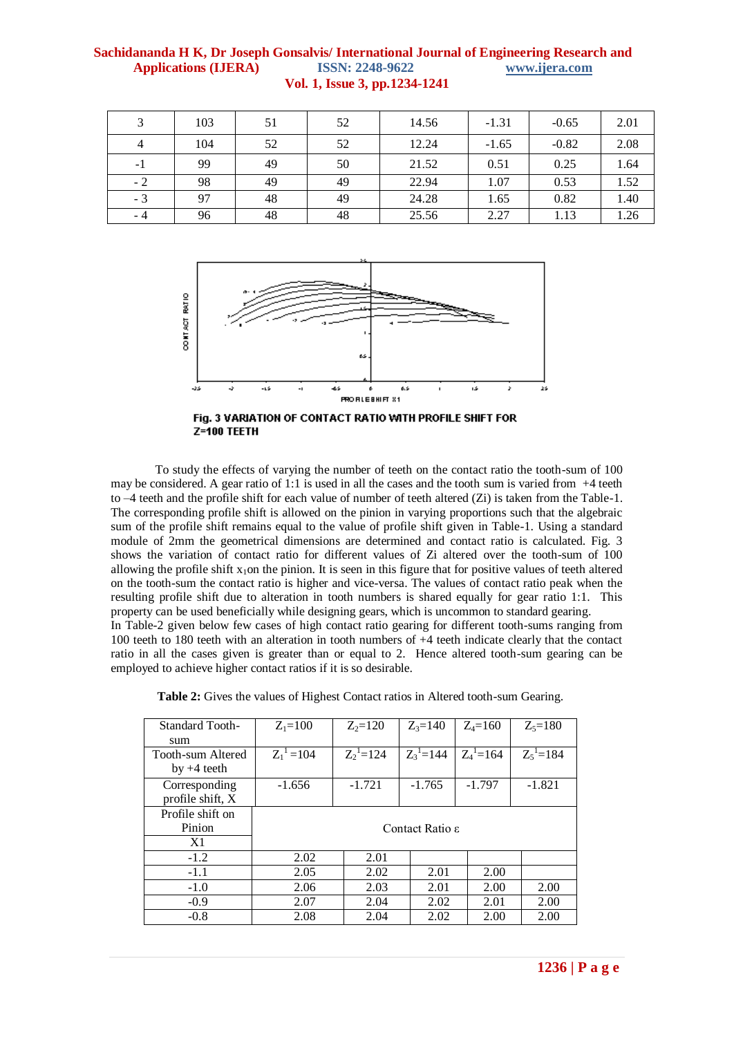| 3              | 103 | 51 | 52 | 14.56 | $-1.31$ | $-0.65$ | 2.01 |
|----------------|-----|----|----|-------|---------|---------|------|
| $\overline{4}$ | 104 | 52 | 52 | 12.24 | $-1.65$ | $-0.82$ | 2.08 |
| -1             | 99  | 49 | 50 | 21.52 | 0.51    | 0.25    | 1.64 |
| $-2$           | 98  | 49 | 49 | 22.94 | 1.07    | 0.53    | 1.52 |
| $-3$           | 97  | 48 | 49 | 24.28 | 1.65    | 0.82    | 1.40 |
| - 4            | 96  | 48 | 48 | 25.56 | 2.27    | 1.13    | 1.26 |





To study the effects of varying the number of teeth on the contact ratio the tooth-sum of 100 may be considered. A gear ratio of 1:1 is used in all the cases and the tooth sum is varied from  $+4$  teeth to  $-4$  teeth and the profile shift for each value of number of teeth altered (Zi) is taken from the Table-1. The corresponding profile shift is allowed on the pinion in varying proportions such that the algebraic sum of the profile shift remains equal to the value of profile shift given in Table-1. Using a standard module of 2mm the geometrical dimensions are determined and contact ratio is calculated. Fig. 3 shows the variation of contact ratio for different values of Zi altered over the tooth-sum of 100 allowing the profile shift  $x_1$ on the pinion. It is seen in this figure that for positive values of teeth altered on the tooth-sum the contact ratio is higher and vice-versa. The values of contact ratio peak when the resulting profile shift due to alteration in tooth numbers is shared equally for gear ratio 1:1. This property can be used beneficially while designing gears, which is uncommon to standard gearing. In Table-2 given below few cases of high contact ratio gearing for different tooth-sums ranging from 100 teeth to 180 teeth with an alteration in tooth numbers of +4 teeth indicate clearly that the contact ratio in all the cases given is greater than or equal to 2. Hence altered tooth-sum gearing can be

| <b>Standard Tooth-</b> | $Z_1 = 100$                 | $Z_2 = 120$  | $Z_3 = 140$   | $Z_4 = 160$   | $Z_{5} = 180$ |  |  |
|------------------------|-----------------------------|--------------|---------------|---------------|---------------|--|--|
| sum                    |                             |              |               |               |               |  |  |
| Tooth-sum Altered      | $Z_1^1 = 104$               | $Z_2^1$ =124 | $Z_3^1 = 144$ | $Z_4^1 = 164$ | $Z_5^1 = 184$ |  |  |
| $by +4$ teeth          |                             |              |               |               |               |  |  |
| Corresponding          | $-1.656$                    | $-1.721$     | $-1.765$      | $-1.797$      | $-1.821$      |  |  |
| profile shift, X       |                             |              |               |               |               |  |  |
| Profile shift on       |                             |              |               |               |               |  |  |
| Pinion                 | Contact Ratio $\varepsilon$ |              |               |               |               |  |  |
| X1                     |                             |              |               |               |               |  |  |
| $-1.2$                 | 2.02                        | 2.01         |               |               |               |  |  |
| $-1.1$                 | 2.05                        | 2.02         | 2.01          | 2.00          |               |  |  |
| $-1.0$                 | 2.06                        | 2.03         | 2.01          | 2.00          | 2.00          |  |  |
| $-0.9$                 | 2.07                        | 2.04         | 2.02          | 2.01          | 2.00          |  |  |
| $-0.8$                 | 2.08                        | 2.04         | 2.02          | 2.00          | 2.00          |  |  |

**Table 2:** Gives the values of Highest Contact ratios in Altered tooth-sum Gearing.

employed to achieve higher contact ratios if it is so desirable.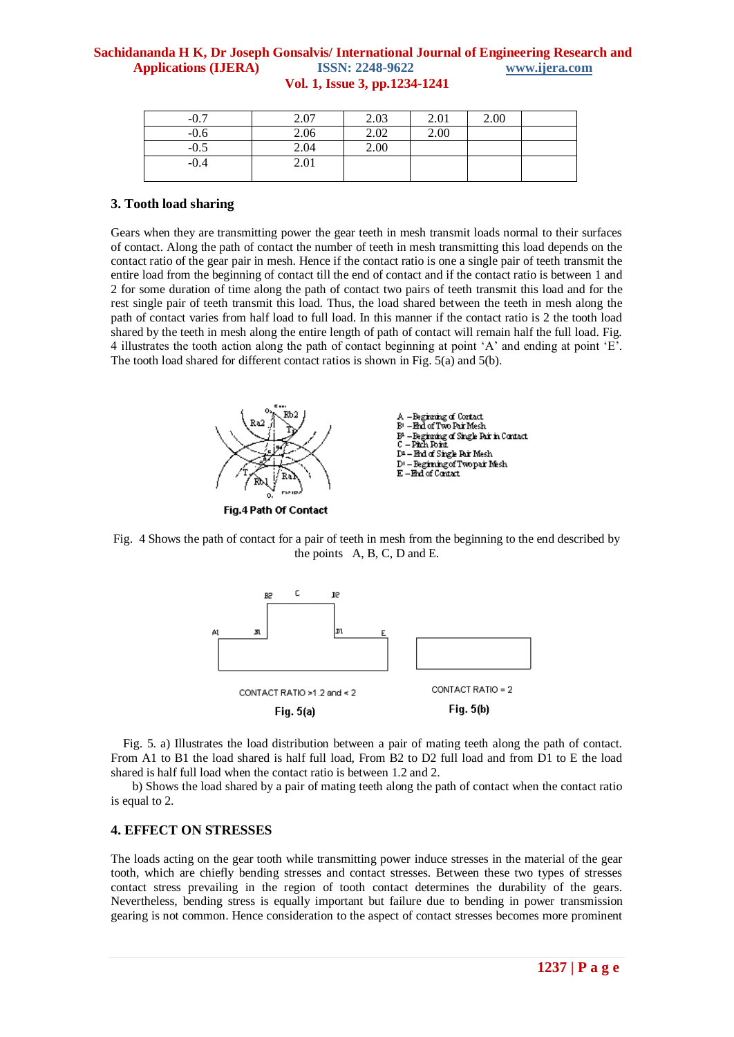| $-0.7$ | 2.07 | 2.03 | 2.01 | 2.00 |  |
|--------|------|------|------|------|--|
| $-0.6$ | 2.06 | 2.02 | 2.00 |      |  |
| $-0.5$ | 2.04 | 2.00 |      |      |  |
| $-0.4$ | 2.01 |      |      |      |  |
|        |      |      |      |      |  |

#### **3. Tooth load sharing**

Gears when they are transmitting power the gear teeth in mesh transmit loads normal to their surfaces of contact. Along the path of contact the number of teeth in mesh transmitting this load depends on the contact ratio of the gear pair in mesh. Hence if the contact ratio is one a single pair of teeth transmit the entire load from the beginning of contact till the end of contact and if the contact ratio is between 1 and 2 for some duration of time along the path of contact two pairs of teeth transmit this load and for the rest single pair of teeth transmit this load. Thus, the load shared between the teeth in mesh along the path of contact varies from half load to full load. In this manner if the contact ratio is 2 the tooth load shared by the teeth in mesh along the entire length of path of contact will remain half the full load. Fig. 4 illustrates the tooth action along the path of contact beginning at point "A" and ending at point "E". The tooth load shared for different contact ratios is shown in Fig. 5(a) and 5(b).



Fig. 4 Shows the path of contact for a pair of teeth in mesh from the beginning to the end described by the points A, B, C, D and E.



 Fig. 5. a) Illustrates the load distribution between a pair of mating teeth along the path of contact. From A1 to B1 the load shared is half full load, From B2 to D2 full load and from D1 to E the load shared is half full load when the contact ratio is between 1.2 and 2.

 b) Shows the load shared by a pair of mating teeth along the path of contact when the contact ratio is equal to 2.

## **4. EFFECT ON STRESSES**

The loads acting on the gear tooth while transmitting power induce stresses in the material of the gear tooth, which are chiefly bending stresses and contact stresses. Between these two types of stresses contact stress prevailing in the region of tooth contact determines the durability of the gears. Nevertheless, bending stress is equally important but failure due to bending in power transmission gearing is not common. Hence consideration to the aspect of contact stresses becomes more prominent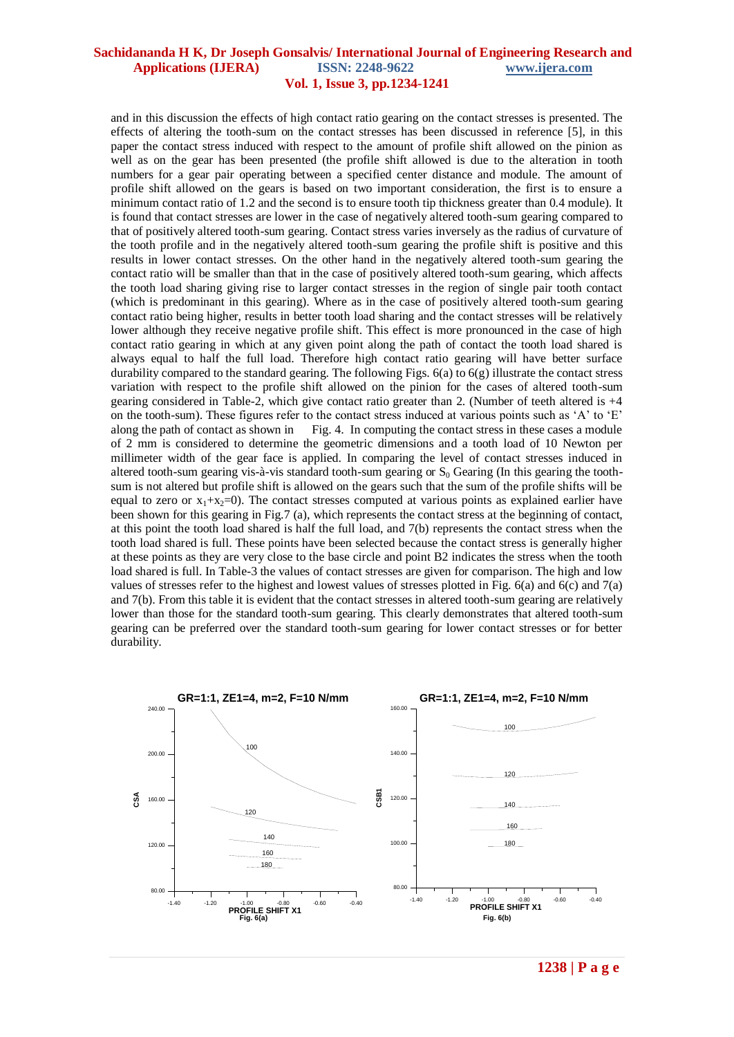and in this discussion the effects of high contact ratio gearing on the contact stresses is presented. The effects of altering the tooth-sum on the contact stresses has been discussed in reference [5], in this paper the contact stress induced with respect to the amount of profile shift allowed on the pinion as well as on the gear has been presented (the profile shift allowed is due to the alteration in tooth numbers for a gear pair operating between a specified center distance and module. The amount of profile shift allowed on the gears is based on two important consideration, the first is to ensure a minimum contact ratio of 1.2 and the second is to ensure tooth tip thickness greater than 0.4 module). It is found that contact stresses are lower in the case of negatively altered tooth-sum gearing compared to that of positively altered tooth-sum gearing. Contact stress varies inversely as the radius of curvature of the tooth profile and in the negatively altered tooth-sum gearing the profile shift is positive and this results in lower contact stresses. On the other hand in the negatively altered tooth-sum gearing the contact ratio will be smaller than that in the case of positively altered tooth-sum gearing, which affects the tooth load sharing giving rise to larger contact stresses in the region of single pair tooth contact (which is predominant in this gearing). Where as in the case of positively altered tooth-sum gearing contact ratio being higher, results in better tooth load sharing and the contact stresses will be relatively lower although they receive negative profile shift. This effect is more pronounced in the case of high contact ratio gearing in which at any given point along the path of contact the tooth load shared is always equal to half the full load. Therefore high contact ratio gearing will have better surface durability compared to the standard gearing. The following Figs.  $6(a)$  to  $6(g)$  illustrate the contact stress variation with respect to the profile shift allowed on the pinion for the cases of altered tooth-sum gearing considered in Table-2, which give contact ratio greater than 2. (Number of teeth altered is +4 on the tooth-sum). These figures refer to the contact stress induced at various points such as "A" to "E" along the path of contact as shown in Fig. 4. In computing the contact stress in these cases a module of 2 mm is considered to determine the geometric dimensions and a tooth load of 10 Newton per millimeter width of the gear face is applied. In comparing the level of contact stresses induced in altered tooth-sum gearing vis-à-vis standard tooth-sum gearing or  $S_0$  Gearing (In this gearing the toothsum is not altered but profile shift is allowed on the gears such that the sum of the profile shifts will be equal to zero or  $x_1+x_2=0$ . The contact stresses computed at various points as explained earlier have been shown for this gearing in Fig.7 (a), which represents the contact stress at the beginning of contact, at this point the tooth load shared is half the full load, and 7(b) represents the contact stress when the tooth load shared is full. These points have been selected because the contact stress is generally higher at these points as they are very close to the base circle and point B2 indicates the stress when the tooth load shared is full. In Table-3 the values of contact stresses are given for comparison. The high and low values of stresses refer to the highest and lowest values of stresses plotted in Fig. 6(a) and 6(c) and 7(a) and 7(b). From this table it is evident that the contact stresses in altered tooth-sum gearing are relatively lower than those for the standard tooth-sum gearing. This clearly demonstrates that altered tooth-sum gearing can be preferred over the standard tooth-sum gearing for lower contact stresses or for better durability.

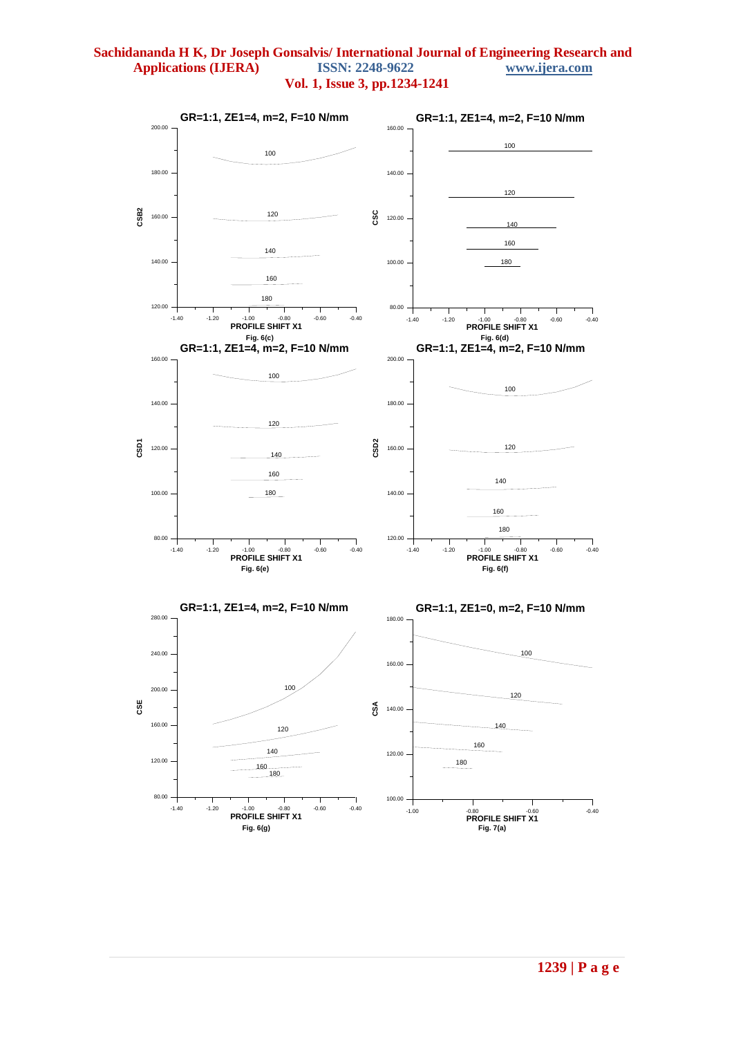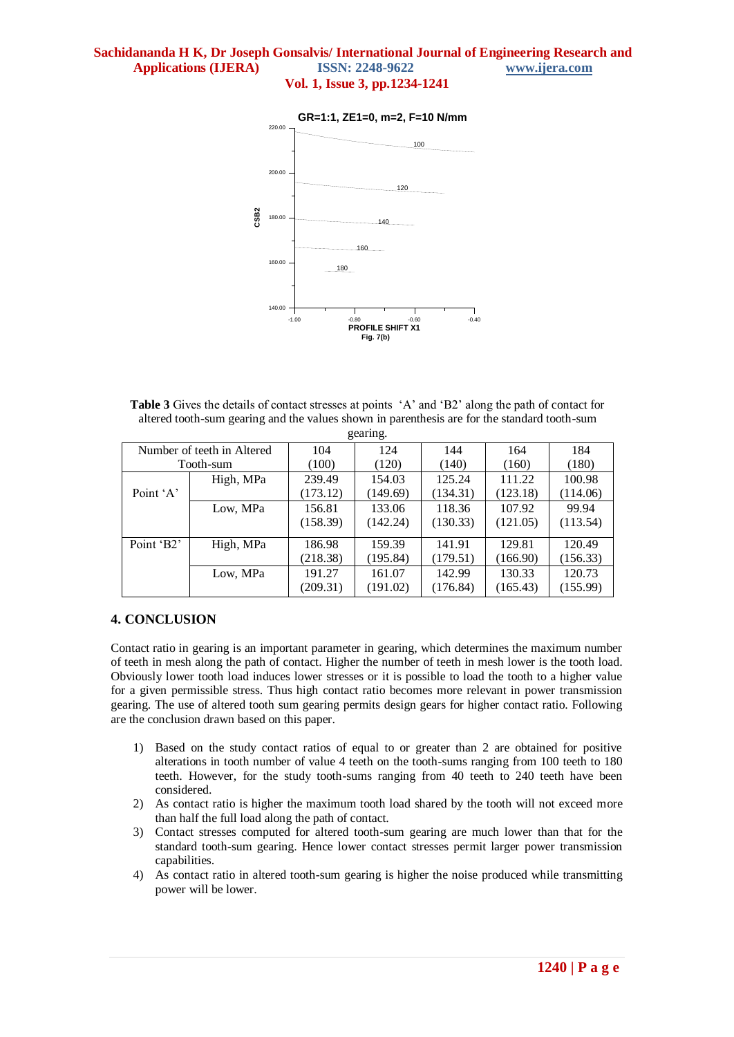

**Table 3** Gives the details of contact stresses at points "A" and "B2" along the path of contact for altered tooth-sum gearing and the values shown in parenthesis are for the standard tooth-sum gearing.

| $5$ carm $5$ .             |           |          |          |          |          |          |  |
|----------------------------|-----------|----------|----------|----------|----------|----------|--|
| Number of teeth in Altered |           | 104      | 124      | 144      | 164      | 184      |  |
| Tooth-sum                  |           | (100)    | (120)    | (140)    | (160)    | (180)    |  |
| High, MPa                  |           | 239.49   | 154.03   | 125.24   | 111.22   | 100.98   |  |
| Point 'A'                  |           | (173.12) | (149.69) | (134.31) | (123.18) | (114.06) |  |
|                            | Low, MPa  | 156.81   | 133.06   | 118.36   | 107.92   | 99.94    |  |
|                            |           | (158.39) | (142.24) | (130.33) | (121.05) | (113.54) |  |
| Point 'B2'                 | High, MPa | 186.98   | 159.39   | 141.91   | 129.81   | 120.49   |  |
|                            |           | (218.38) | (195.84) | (179.51) | (166.90) | (156.33) |  |
|                            | Low, MPa  | 191.27   | 161.07   | 142.99   | 130.33   | 120.73   |  |
|                            |           | (209.31) | (191.02) | (176.84) | (165.43) | (155.99) |  |

## **4. CONCLUSION**

Contact ratio in gearing is an important parameter in gearing, which determines the maximum number of teeth in mesh along the path of contact. Higher the number of teeth in mesh lower is the tooth load. Obviously lower tooth load induces lower stresses or it is possible to load the tooth to a higher value for a given permissible stress. Thus high contact ratio becomes more relevant in power transmission gearing. The use of altered tooth sum gearing permits design gears for higher contact ratio. Following are the conclusion drawn based on this paper.

- 1) Based on the study contact ratios of equal to or greater than 2 are obtained for positive alterations in tooth number of value 4 teeth on the tooth-sums ranging from 100 teeth to 180 teeth. However, for the study tooth-sums ranging from 40 teeth to 240 teeth have been considered.
- 2) As contact ratio is higher the maximum tooth load shared by the tooth will not exceed more than half the full load along the path of contact.
- 3) Contact stresses computed for altered tooth-sum gearing are much lower than that for the standard tooth-sum gearing. Hence lower contact stresses permit larger power transmission capabilities.
- 4) As contact ratio in altered tooth-sum gearing is higher the noise produced while transmitting power will be lower.